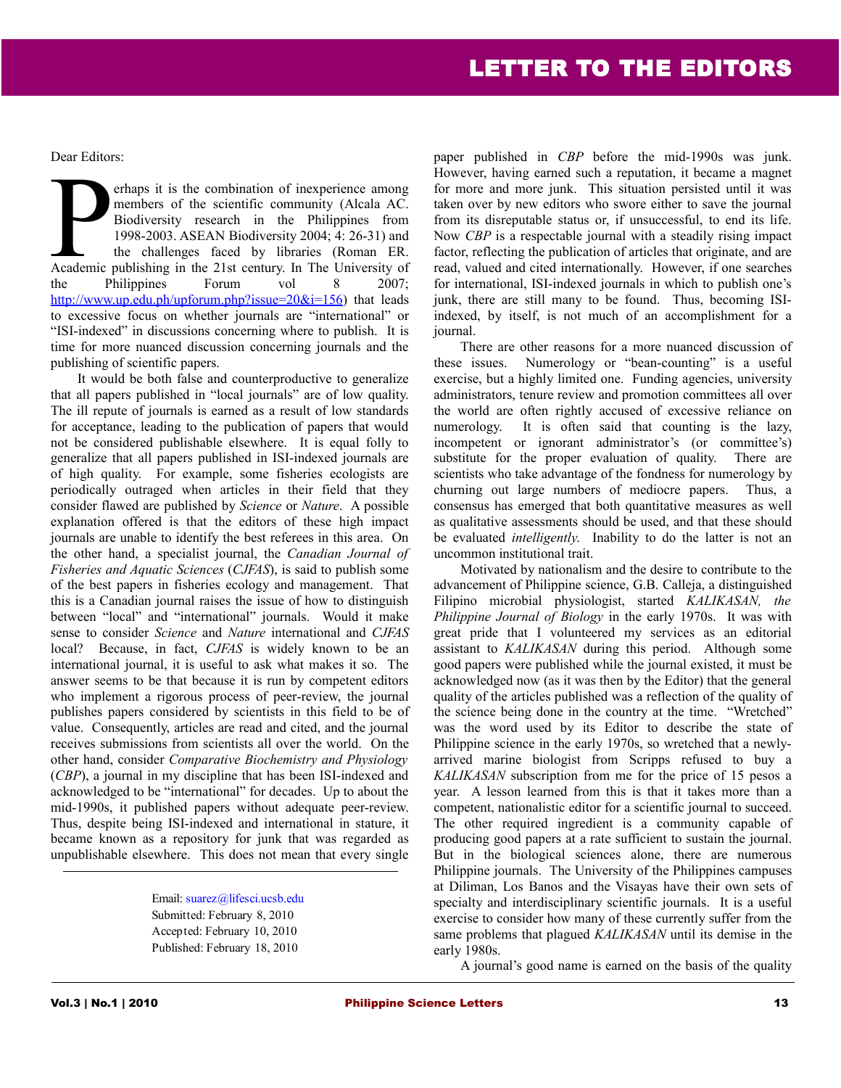Dear Editors:

erhaps it is the combination of inexperience among members of the scientific community (Alcala AC. Biodiversity research in the Philippines from 1998-2003. ASEAN Biodiversity 2004; 4: 26-31) and the challenges faced by libraries (Roman ER. The State of the scientific community (Alcala AC.<br>
Biodiversity research in the Philippines from<br>
1998-2003. ASEAN Biodiversity 2004; 4: 26-31) and<br>
the challenges faced by libraries (Roman ER.<br>
Academic publishing in the the Philippines Forum vol 8 2007; http://www.up.edu.ph/upforum.php?issue= $20&\&i=156$ ) that leads to excessive focus on whether journals are "international" or "ISI-indexed" in discussions concerning where to publish. It is time for more nuanced discussion concerning journals and the publishing of scientific papers.

It would be both false and counterproductive to generalize that all papers published in "local journals" are of low quality. The ill repute of journals is earned as a result of low standards for acceptance, leading to the publication of papers that would not be considered publishable elsewhere. It is equal folly to generalize that all papers published in ISI-indexed journals are of high quality. For example, some fisheries ecologists are periodically outraged when articles in their field that they consider flawed are published by *Science* or *Nature*. A possible explanation offered is that the editors of these high impact journals are unable to identify the best referees in this area. On the other hand, a specialist journal, the *Canadian Journal of Fisheries and Aquatic Sciences* (*CJFAS*), is said to publish some of the best papers in fisheries ecology and management. That this is a Canadian journal raises the issue of how to distinguish between "local" and "international" journals. Would it make sense to consider *Science* and *Nature* international and *CJFAS* local? Because, in fact, *CJFAS* is widely known to be an international journal, it is useful to ask what makes it so. The answer seems to be that because it is run by competent editors who implement a rigorous process of peer-review, the journal publishes papers considered by scientists in this field to be of value. Consequently, articles are read and cited, and the journal receives submissions from scientists all over the world. On the other hand, consider *Comparative Biochemistry and Physiology* (*CBP*), a journal in my discipline that has been ISI-indexed and acknowledged to be "international" for decades. Up to about the mid-1990s, it published papers without adequate peer-review. Thus, despite being ISI-indexed and international in stature, it became known as a repository for junk that was regarded as unpublishable elsewhere. This does not mean that every single

> Email: [suarez@lifesci.ucsb.edu](mailto:suarez@lifesci.ucsb.edu) Submitted: February 8, 2010 Accepted: February 10, 2010 Published: February 18, 2010

paper published in *CBP* before the mid-1990s was junk. However, having earned such a reputation, it became a magnet for more and more junk. This situation persisted until it was taken over by new editors who swore either to save the journal from its disreputable status or, if unsuccessful, to end its life. Now *CBP* is a respectable journal with a steadily rising impact factor, reflecting the publication of articles that originate, and are read, valued and cited internationally. However, if one searches for international, ISI-indexed journals in which to publish one's junk, there are still many to be found. Thus, becoming ISIindexed, by itself, is not much of an accomplishment for a journal.

There are other reasons for a more nuanced discussion of these issues. Numerology or "bean-counting" is a useful exercise, but a highly limited one. Funding agencies, university administrators, tenure review and promotion committees all over the world are often rightly accused of excessive reliance on numerology. It is often said that counting is the lazy, incompetent or ignorant administrator's (or committee's) substitute for the proper evaluation of quality. There are scientists who take advantage of the fondness for numerology by churning out large numbers of mediocre papers. Thus, a consensus has emerged that both quantitative measures as well as qualitative assessments should be used, and that these should be evaluated *intelligently*. Inability to do the latter is not an uncommon institutional trait.

Motivated by nationalism and the desire to contribute to the advancement of Philippine science, G.B. Calleja, a distinguished Filipino microbial physiologist, started *KALIKASAN, the Philippine Journal of Biology* in the early 1970s. It was with great pride that I volunteered my services as an editorial assistant to *KALIKASAN* during this period. Although some good papers were published while the journal existed, it must be acknowledged now (as it was then by the Editor) that the general quality of the articles published was a reflection of the quality of the science being done in the country at the time. "Wretched" was the word used by its Editor to describe the state of Philippine science in the early 1970s, so wretched that a newlyarrived marine biologist from Scripps refused to buy a *KALIKASAN* subscription from me for the price of 15 pesos a year. A lesson learned from this is that it takes more than a competent, nationalistic editor for a scientific journal to succeed. The other required ingredient is a community capable of producing good papers at a rate sufficient to sustain the journal. But in the biological sciences alone, there are numerous Philippine journals. The University of the Philippines campuses at Diliman, Los Banos and the Visayas have their own sets of specialty and interdisciplinary scientific journals. It is a useful exercise to consider how many of these currently suffer from the same problems that plagued *KALIKASAN* until its demise in the early 1980s.

A journal's good name is earned on the basis of the quality